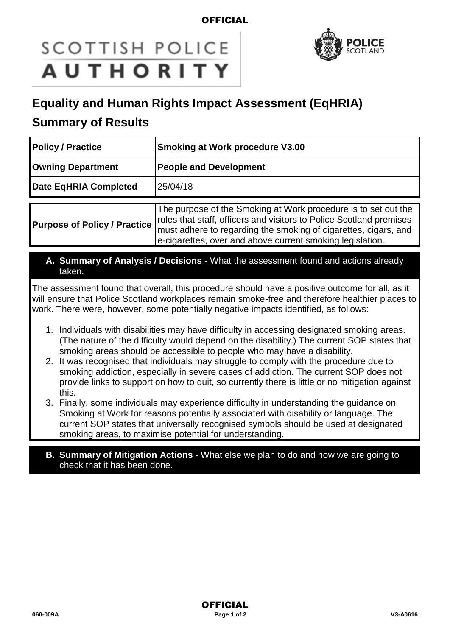### **OFFICIAL**

# **SCOTTISH POLICE AUTHORITY**



## **Equality and Human Rights Impact Assessment (EqHRIA)**

## **Summary of Results**

| <b>Policy / Practice</b>            | <b>Smoking at Work procedure V3.00</b>                                                                                                                                                                                                                                |
|-------------------------------------|-----------------------------------------------------------------------------------------------------------------------------------------------------------------------------------------------------------------------------------------------------------------------|
| <b>Owning Department</b>            | <b>People and Development</b>                                                                                                                                                                                                                                         |
| Date EqHRIA Completed               | 25/04/18                                                                                                                                                                                                                                                              |
| <b>Purpose of Policy / Practice</b> | The purpose of the Smoking at Work procedure is to set out the<br>rules that staff, officers and visitors to Police Scotland premises<br>must adhere to regarding the smoking of cigarettes, cigars, and<br>e-cigarettes, over and above current smoking legislation. |

**A. Summary of Analysis / Decisions** - What the assessment found and actions already taken.

The assessment found that overall, this procedure should have a positive outcome for all, as it will ensure that Police Scotland workplaces remain smoke-free and therefore healthier places to work. There were, however, some potentially negative impacts identified, as follows:

- 1. Individuals with disabilities may have difficulty in accessing designated smoking areas. (The nature of the difficulty would depend on the disability.) The current SOP states that smoking areas should be accessible to people who may have a disability.
- 2. It was recognised that individuals may struggle to comply with the procedure due to smoking addiction, especially in severe cases of addiction. The current SOP does not provide links to support on how to quit, so currently there is little or no mitigation against this.
- 3. Finally, some individuals may experience difficulty in understanding the guidance on Smoking at Work for reasons potentially associated with disability or language. The current SOP states that universally recognised symbols should be used at designated smoking areas, to maximise potential for understanding.
- **B. Summary of Mitigation Actions** What else we plan to do and how we are going to check that it has been done.